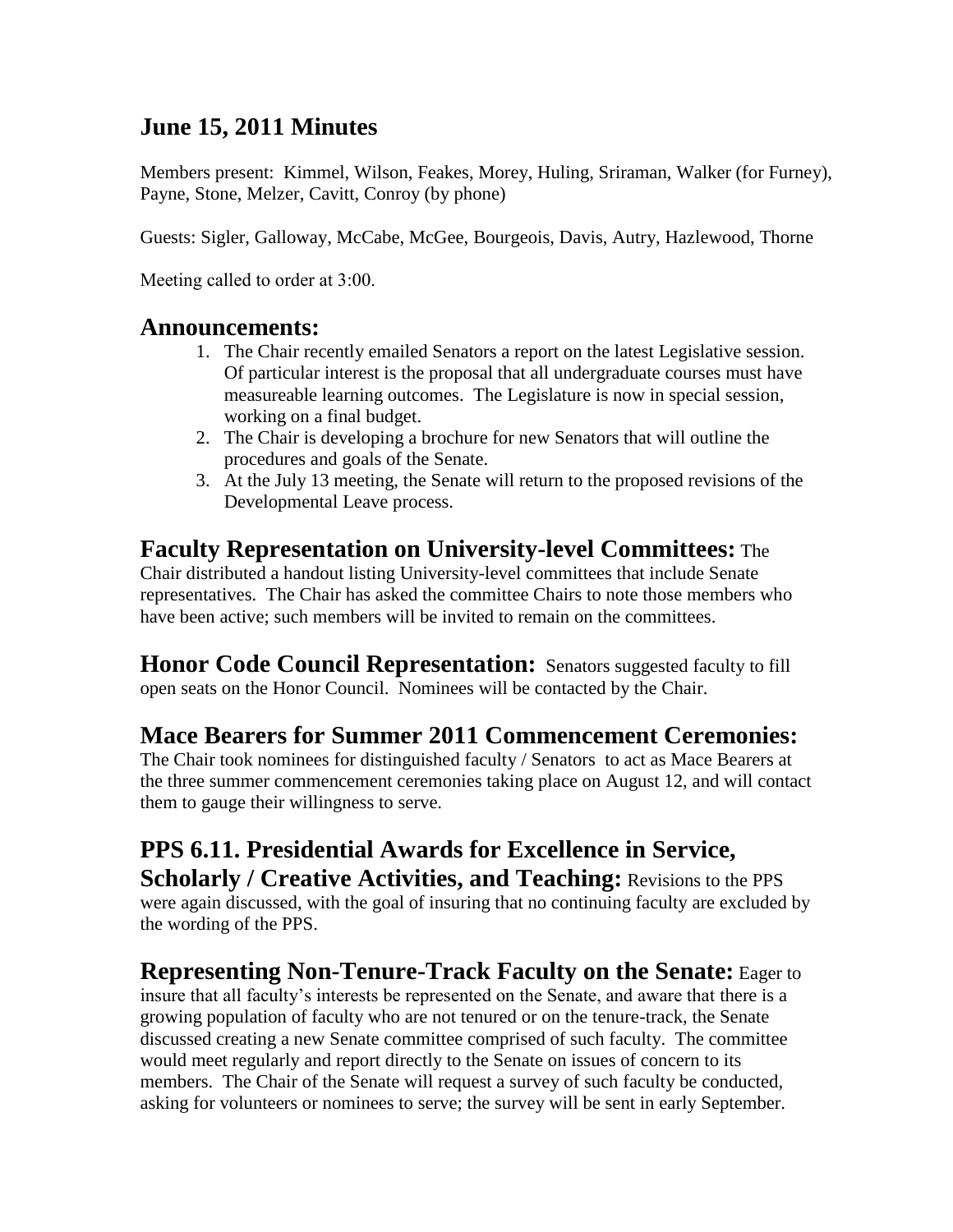## **June 15, 2011 Minutes**

Members present: Kimmel, Wilson, Feakes, Morey, Huling, Sriraman, Walker (for Furney), Payne, Stone, Melzer, Cavitt, Conroy (by phone)

Guests: Sigler, Galloway, McCabe, McGee, Bourgeois, Davis, Autry, Hazlewood, Thorne

Meeting called to order at 3:00.

#### **Announcements:**

- 1. The Chair recently emailed Senators a report on the latest Legislative session. Of particular interest is the proposal that all undergraduate courses must have measureable learning outcomes. The Legislature is now in special session, working on a final budget.
- 2. The Chair is developing a brochure for new Senators that will outline the procedures and goals of the Senate.
- 3. At the July 13 meeting, the Senate will return to the proposed revisions of the Developmental Leave process.

#### **Faculty Representation on University-level Committees:** The

Chair distributed a handout listing University-level committees that include Senate representatives. The Chair has asked the committee Chairs to note those members who have been active; such members will be invited to remain on the committees.

**Honor Code Council Representation:** Senators suggested faculty to fill open seats on the Honor Council. Nominees will be contacted by the Chair.

## **Mace Bearers for Summer 2011 Commencement Ceremonies:**

The Chair took nominees for distinguished faculty / Senators to act as Mace Bearers at the three summer commencement ceremonies taking place on August 12, and will contact them to gauge their willingness to serve.

## **PPS 6.11. Presidential Awards for Excellence in Service, Scholarly / Creative Activities, and Teaching:** Revisions to the PPS

were again discussed, with the goal of insuring that no continuing faculty are excluded by the wording of the PPS.

#### **Representing Non-Tenure-Track Faculty on the Senate:** Eager to

insure that all faculty's interests be represented on the Senate, and aware that there is a growing population of faculty who are not tenured or on the tenure-track, the Senate discussed creating a new Senate committee comprised of such faculty. The committee would meet regularly and report directly to the Senate on issues of concern to its members. The Chair of the Senate will request a survey of such faculty be conducted, asking for volunteers or nominees to serve; the survey will be sent in early September.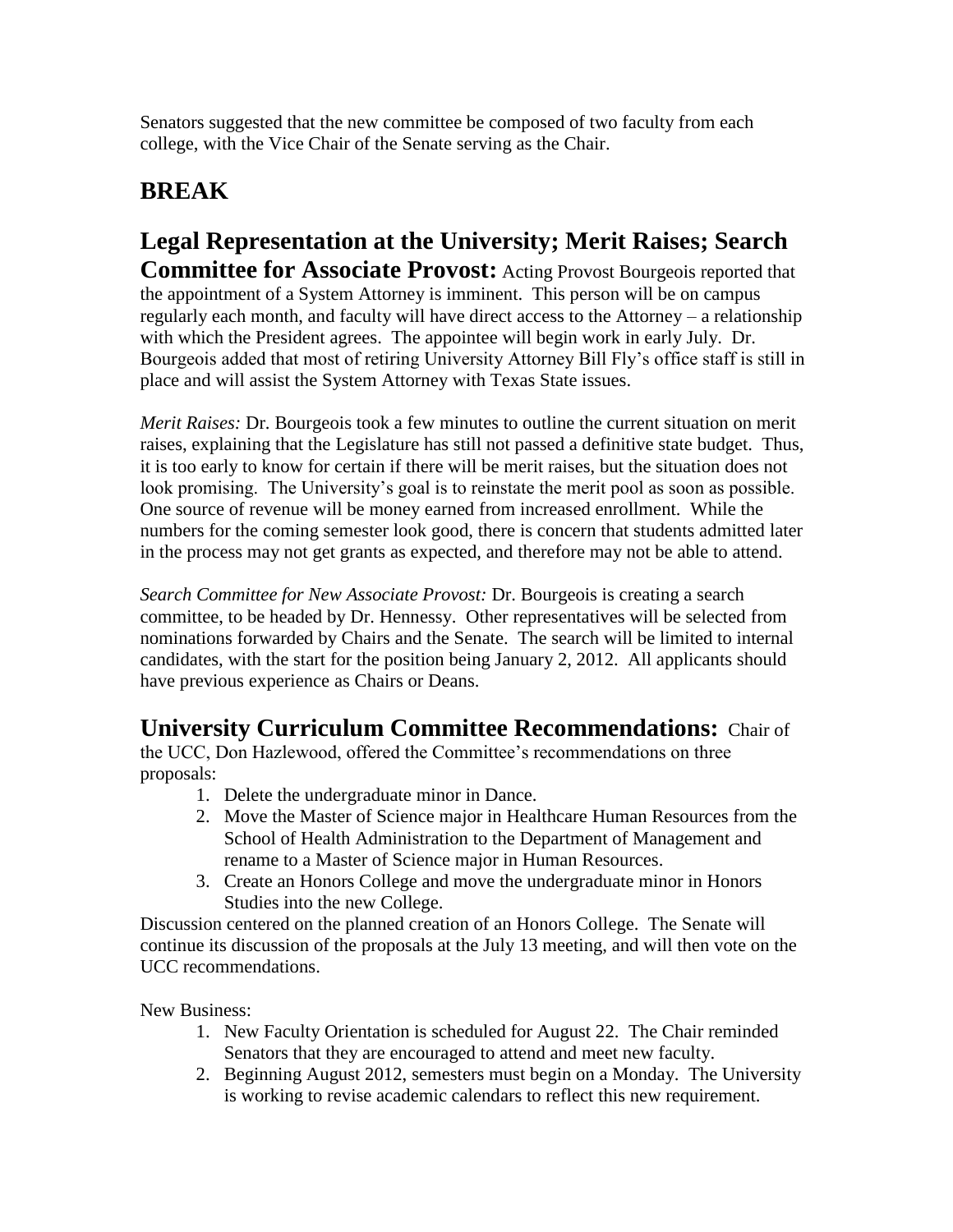Senators suggested that the new committee be composed of two faculty from each college, with the Vice Chair of the Senate serving as the Chair.

# **BREAK**

**Legal Representation at the University; Merit Raises; Search Committee for Associate Provost:** Acting Provost Bourgeois reported that the appointment of a System Attorney is imminent. This person will be on campus regularly each month, and faculty will have direct access to the Attorney – a relationship with which the President agrees. The appointee will begin work in early July. Dr. Bourgeois added that most of retiring University Attorney Bill Fly's office staff is still in place and will assist the System Attorney with Texas State issues.

*Merit Raises:* Dr. Bourgeois took a few minutes to outline the current situation on merit raises, explaining that the Legislature has still not passed a definitive state budget. Thus, it is too early to know for certain if there will be merit raises, but the situation does not look promising. The University's goal is to reinstate the merit pool as soon as possible. One source of revenue will be money earned from increased enrollment. While the numbers for the coming semester look good, there is concern that students admitted later in the process may not get grants as expected, and therefore may not be able to attend.

*Search Committee for New Associate Provost:* Dr. Bourgeois is creating a search committee, to be headed by Dr. Hennessy. Other representatives will be selected from nominations forwarded by Chairs and the Senate. The search will be limited to internal candidates, with the start for the position being January 2, 2012. All applicants should have previous experience as Chairs or Deans.

## **University Curriculum Committee Recommendations:** Chair of

the UCC, Don Hazlewood, offered the Committee's recommendations on three proposals:

- 1. Delete the undergraduate minor in Dance.
- 2. Move the Master of Science major in Healthcare Human Resources from the School of Health Administration to the Department of Management and rename to a Master of Science major in Human Resources.
- 3. Create an Honors College and move the undergraduate minor in Honors Studies into the new College.

Discussion centered on the planned creation of an Honors College. The Senate will continue its discussion of the proposals at the July 13 meeting, and will then vote on the UCC recommendations.

New Business:

- 1. New Faculty Orientation is scheduled for August 22. The Chair reminded Senators that they are encouraged to attend and meet new faculty.
- 2. Beginning August 2012, semesters must begin on a Monday. The University is working to revise academic calendars to reflect this new requirement.